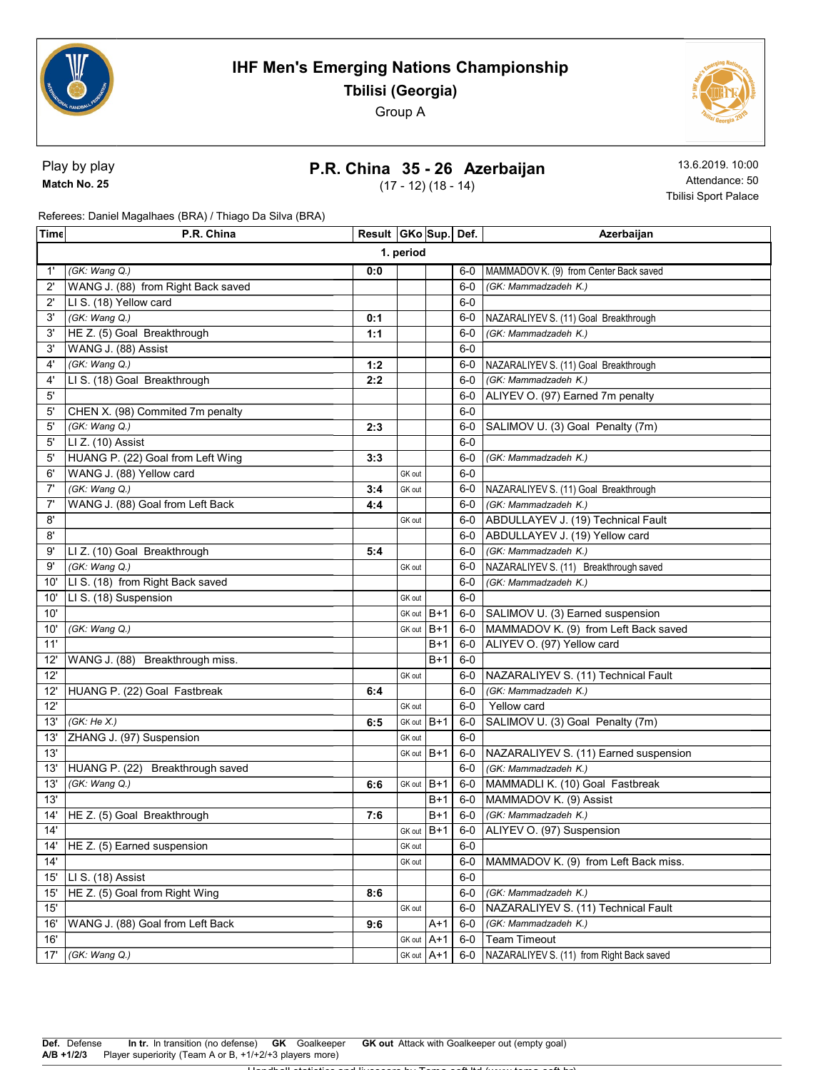



Play by play Match No. 25

#### P.R. China 35 - 26 Azerbaijan

(17 - 12) (18 - 14)

13.6.2019. 10:00 Attendance: 50 Tbilisi Sport Palace

Referees: Daniel Magalhaes (BRA) / Thiago Da Silva (BRA)

| Time         | P.R. China                         | Result   GKo   Sup   Def. |            |            |       | Azerbaijan                                  |
|--------------|------------------------------------|---------------------------|------------|------------|-------|---------------------------------------------|
| 1. period    |                                    |                           |            |            |       |                                             |
| 1'           | (GK: Wang Q.)                      | 0:0                       |            |            | 6-0   | MAMMADOV K. (9) from Center Back saved      |
| $2^{\prime}$ | WANG J. (88) from Right Back saved |                           |            |            | $6-0$ | (GK: Mammadzadeh K.)                        |
| $2^{\prime}$ | LI S. (18) Yellow card             |                           |            |            | $6-0$ |                                             |
| 3'           | (GK: Wang Q.)                      | 0:1                       |            |            | 6-0   | NAZARALIYEV S. (11) Goal Breakthrough       |
| 3'           | HE Z. (5) Goal Breakthrough        | 1:1                       |            |            | $6-0$ | (GK: Mammadzadeh K.)                        |
| 3'           | WANG J. (88) Assist                |                           |            |            | $6-0$ |                                             |
| 4'           | (GK: Wang Q.)                      | 1:2                       |            |            | 6-0   | NAZARALIYEV S. (11) Goal Breakthrough       |
| 4'           | LI S. (18) Goal Breakthrough       | 2:2                       |            |            | $6-0$ | (GK: Mammadzadeh K.)                        |
| 5'           |                                    |                           |            |            | $6-0$ | ALIYEV O. (97) Earned 7m penalty            |
| 5'           | CHEN X. (98) Commited 7m penalty   |                           |            |            | $6-0$ |                                             |
| 5'           | (GK: Wang Q.)                      | 2:3                       |            |            | 6-0   | SALIMOV U. (3) Goal Penalty (7m)            |
| 5'           | LI Z. (10) Assist                  |                           |            |            | $6-0$ |                                             |
| 5'           | HUANG P. (22) Goal from Left Wing  | 3:3                       |            |            | $6-0$ | (GK: Mammadzadeh K.)                        |
| 6'           | WANG J. (88) Yellow card           |                           | GK out     |            | $6-0$ |                                             |
| 7'           | (GK: Wang Q.)                      | 3:4                       | GK out     |            |       | 6-0 NAZARALIYEV S. (11) Goal Breakthrough   |
| 7'           | WANG J. (88) Goal from Left Back   | 4:4                       |            |            | 6-0   | (GK: Mammadzadeh K.)                        |
| 8'           |                                    |                           | GK out     |            |       | 6-0 ABDULLAYEV J. (19) Technical Fault      |
| 8'           |                                    |                           |            |            |       | 6-0 ABDULLAYEV J. (19) Yellow card          |
| 9'           | LI Z. (10) Goal Breakthrough       | 5:4                       |            |            | $6-0$ | (GK: Mammadzadeh K.)                        |
| 9'           | (GK: Wang Q.)                      |                           | GK out     |            | 6-0   | NAZARALIYEV S. (11) Breakthrough saved      |
| 10'          | LI S. (18) from Right Back saved   |                           |            |            | $6-0$ | (GK: Mammadzadeh K.)                        |
| 10'          | LI S. (18) Suspension              |                           | GK out     |            | $6-0$ |                                             |
| 10'          |                                    |                           | GK out     | B+1        |       | 6-0   SALIMOV U. (3) Earned suspension      |
| 10'          | (GK: Wang Q.)                      |                           | GK out B+1 |            | 6-0   | MAMMADOV K. (9) from Left Back saved        |
| 11'          |                                    |                           |            | $B+1$      | 6-0   | ALIYEV O. (97) Yellow card                  |
| 12'          | WANG J. (88) Breakthrough miss.    |                           |            | $B+1$      | $6-0$ |                                             |
| 12'          |                                    |                           | GK out     |            | 6-0   | NAZARALIYEV S. (11) Technical Fault         |
| 12'          | HUANG P. (22) Goal Fastbreak       | 6:4                       |            |            | $6-0$ | (GK: Mammadzadeh K.)                        |
| 12'          |                                    |                           | GK out     |            | 6-0   | Yellow card                                 |
| 13'          | (GK:He X.)                         | 6:5                       | GK out B+1 |            | $6-0$ | SALIMOV U. (3) Goal Penalty (7m)            |
| 13'          | ZHANG J. (97) Suspension           |                           | GK out     |            | $6-0$ |                                             |
| 13'          |                                    |                           | GK out B+1 |            |       | 6-0   NAZARALIYEV S. (11) Earned suspension |
| 13'          | HUANG P. (22) Breakthrough saved   |                           |            |            | $6-0$ | (GK: Mammadzadeh K.)                        |
| 13'          | (GK: Wang Q.)                      | 6:6                       | GK out     | $B+1$      | 6-0   | MAMMADLI K. (10) Goal Fastbreak             |
| 13'          |                                    |                           |            | B+1        | 6-0   | MAMMADOV K. (9) Assist                      |
| 14'          | HE Z. (5) Goal Breakthrough        | 7:6                       |            | $B+1$      |       | 6-0 (GK: Mammadzadeh K.)                    |
| 14'          |                                    |                           |            | GK out B+1 |       | 6-0 ALIYEV O. (97) Suspension               |
| 14'          | HE Z. (5) Earned suspension        |                           | GK out     |            | $6-0$ |                                             |
| 14'          |                                    |                           | GK out     |            | $6-0$ | MAMMADOV K. (9) from Left Back miss.        |
| 15'          | LI S. (18) Assist                  |                           |            |            | $6-0$ |                                             |
| 15'          | HE Z. (5) Goal from Right Wing     | 8:6                       |            |            | $6-0$ | (GK: Mammadzadeh K.)                        |
| 15'          |                                    |                           | GK out     |            | $6-0$ | NAZARALIYEV S. (11) Technical Fault         |
| 16'          | WANG J. (88) Goal from Left Back   | 9:6                       |            | $A+1$      | $6-0$ | (GK: Mammadzadeh K.)                        |
| 16'          |                                    |                           | GK out     | $A+1$      | $6-0$ | <b>Team Timeout</b>                         |
| 17'          | (GK: Wang Q.)                      |                           | GK out     | $A+1$      | $6-0$ | NAZARALIYEV S. (11) from Right Back saved   |
|              |                                    |                           |            |            |       |                                             |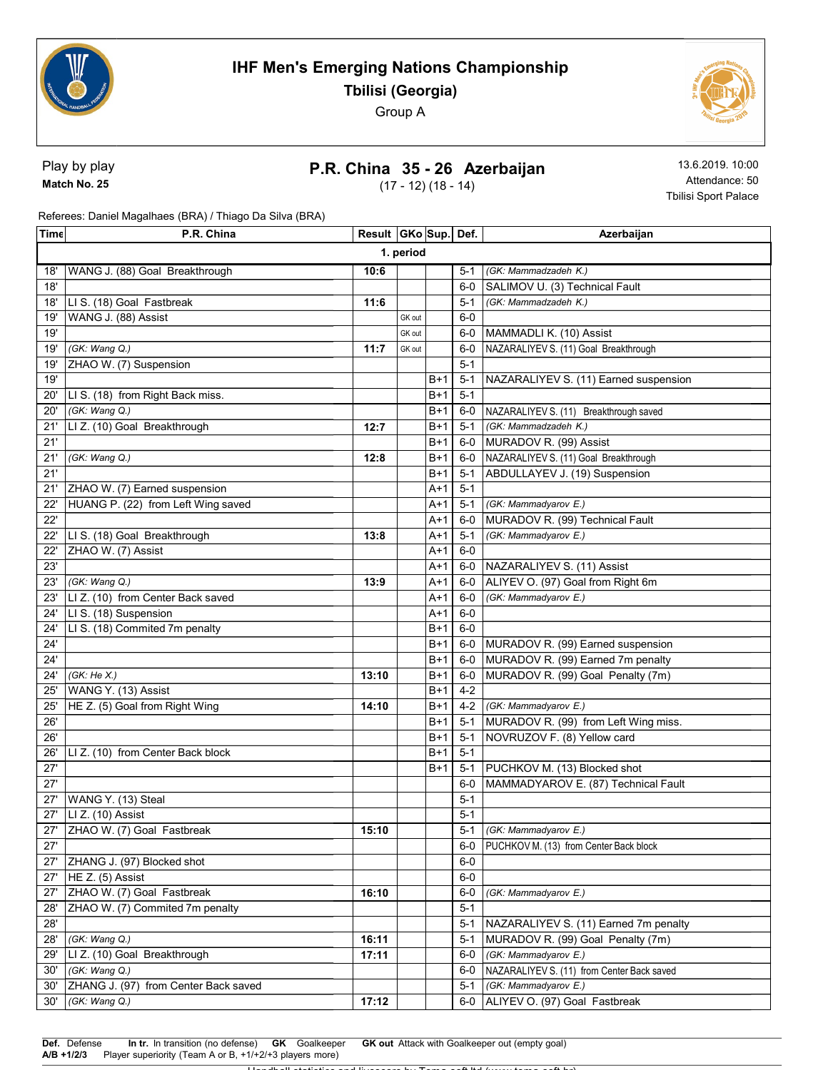



Play by play Match No. 25

# P.R. China 35 - 26 Azerbaijan

(17 - 12) (18 - 14)

13.6.2019. 10:00 Attendance: 50 Tbilisi Sport Palace

Referees: Daniel Magalhaes (BRA) / Thiago Da Silva (BRA)

| Time | P.R. China                           | Result   GKo   Sup   Def. |        |       |         | Azerbaijan                                 |  |
|------|--------------------------------------|---------------------------|--------|-------|---------|--------------------------------------------|--|
|      | 1. period                            |                           |        |       |         |                                            |  |
| 18'  | WANG J. (88) Goal Breakthrough       | 10:6                      |        |       | 5-1     | (GK: Mammadzadeh K.)                       |  |
| 18'  |                                      |                           |        |       | $6-0$   | SALIMOV U. (3) Technical Fault             |  |
| 18'  | LI S. (18) Goal Fastbreak            | 11:6                      |        |       | $5-1$   | (GK: Mammadzadeh K.)                       |  |
| 19'  | WANG J. (88) Assist                  |                           | GK out |       | $6-0$   |                                            |  |
| 19'  |                                      |                           | GK out |       | $6-0$   | MAMMADLI K. (10) Assist                    |  |
| 19'  | (GK: Wang Q.)                        | 11:7                      | GK out |       | $6-0$   | NAZARALIYEV S. (11) Goal Breakthrough      |  |
| 19'  | ZHAO W. (7) Suspension               |                           |        |       | $5 - 1$ |                                            |  |
| 19'  |                                      |                           |        | $B+1$ | $5 - 1$ | NAZARALIYEV S. (11) Earned suspension      |  |
| 20'  | LI S. (18) from Right Back miss.     |                           |        | $B+1$ | $5 - 1$ |                                            |  |
| 20'  | (GK: Wang Q.)                        |                           |        | $B+1$ | 6-0     | NAZARALIYEV S. (11) Breakthrough saved     |  |
| 21'  | LI Z. (10) Goal Breakthrough         | 12:7                      |        | B+1   | 5-1     | (GK: Mammadzadeh K.)                       |  |
| 21'  |                                      |                           |        | $B+1$ | 6-0     | MURADOV R. (99) Assist                     |  |
| 21'  | (GK: Wang Q.)                        | 12:8                      |        | B+1   | 6-0     | NAZARALIYEV S. (11) Goal Breakthrough      |  |
| 21'  |                                      |                           |        | B+1   | $5 - 1$ | ABDULLAYEV J. (19) Suspension              |  |
| 21'  | ZHAO W. (7) Earned suspension        |                           |        | A+1   | $5 - 1$ |                                            |  |
| 22'  | HUANG P. (22) from Left Wing saved   |                           |        | A+1   | $5 - 1$ | (GK: Mammadyarov E.)                       |  |
| 22'  |                                      |                           |        | A+1   | $6-0$   | MURADOV R. (99) Technical Fault            |  |
| 22'  | LI S. (18) Goal Breakthrough         | 13:8                      |        | A+1   | $5 - 1$ | (GK: Mammadyarov E.)                       |  |
| 22'  | ZHAO W. (7) Assist                   |                           |        | A+1   | $6-0$   |                                            |  |
| 23'  |                                      |                           |        | A+1   | $6-0$   | NAZARALIYEV S. (11) Assist                 |  |
| 23'  | (GK: Wang Q.)                        | 13:9                      |        | A+1   | 6-0     | ALIYEV O. (97) Goal from Right 6m          |  |
| 23'  | LI Z. (10) from Center Back saved    |                           |        | A+1   | 6-0     | (GK: Mammadyarov E.)                       |  |
| 24'  | LI S. (18) Suspension                |                           |        | A+1   | $6-0$   |                                            |  |
| 24'  | LI S. (18) Commited 7m penalty       |                           |        | $B+1$ | $6-0$   |                                            |  |
| 24'  |                                      |                           |        | $B+1$ | 6-0     | MURADOV R. (99) Earned suspension          |  |
| 24'  |                                      |                           |        | $B+1$ | $6-0$   | MURADOV R. (99) Earned 7m penalty          |  |
| 24'  | (GK:He X.)                           | 13:10                     |        | $B+1$ | $6-0$   | MURADOV R. (99) Goal Penalty (7m)          |  |
| 25'  | WANG Y. (13) Assist                  |                           |        | $B+1$ | $4 - 2$ |                                            |  |
| 25'  | HE Z. (5) Goal from Right Wing       | 14:10                     |        | $B+1$ | $4 - 2$ | (GK: Mammadyarov E.)                       |  |
| 26'  |                                      |                           |        | $B+1$ | $5 - 1$ | MURADOV R. (99) from Left Wing miss.       |  |
| 26'  |                                      |                           |        | $B+1$ | $5 - 1$ | NOVRUZOV F. (8) Yellow card                |  |
| 26'  | LI Z. (10) from Center Back block    |                           |        | $B+1$ | $5 - 1$ |                                            |  |
| 27'  |                                      |                           |        | $B+1$ | $5-1$   | PUCHKOV M. (13) Blocked shot               |  |
| 27'  |                                      |                           |        |       | 6-0     | MAMMADYAROV E. (87) Technical Fault        |  |
| 27'  | WANG Y. (13) Steal                   |                           |        |       | $5 - 1$ |                                            |  |
| 27'  | LI Z. (10) Assist                    |                           |        |       | $5 - 1$ |                                            |  |
| 27'  | ZHAO W. (7) Goal Fastbreak           | 15:10                     |        |       | $5-1$   | (GK: Mammadyarov E.)                       |  |
| 27'  |                                      |                           |        |       | 6-0     | PUCHKOV M. (13) from Center Back block     |  |
| 27'  | ZHANG J. (97) Blocked shot           |                           |        |       | $6-0$   |                                            |  |
| 27'  | HE Z. (5) Assist                     |                           |        |       | $6-0$   |                                            |  |
| 27'  | ZHAO W. (7) Goal Fastbreak           | 16:10                     |        |       | $6-0$   | (GK: Mammadyarov E.)                       |  |
| 28'  | ZHAO W. (7) Commited 7m penalty      |                           |        |       | $5-1$   |                                            |  |
| 28'  |                                      |                           |        |       | $5 - 1$ | NAZARALIYEV S. (11) Earned 7m penalty      |  |
| 28'  | (GK: Wang Q.)                        | 16:11                     |        |       | $5 - 1$ | MURADOV R. (99) Goal Penalty (7m)          |  |
| 29'  | LI Z. (10) Goal Breakthrough         | 17:11                     |        |       | 6-0     | (GK: Mammadyarov E.)                       |  |
| 30'  | (GK: Wang Q.)                        |                           |        |       | 6-0     | NAZARALIYEV S. (11) from Center Back saved |  |
| 30'  | ZHANG J. (97) from Center Back saved |                           |        |       | $5-1$   | (GK: Mammadyarov E.)                       |  |
| 30'  | (GK: Wang Q.)                        | 17:12                     |        |       | 6-0     | ALIYEV O. (97) Goal Fastbreak              |  |

Handball statistics and livescore by Toma-soft ltd (www.toma-soft.hr)

Def. Defense In tr. In transition (no defense) GK Goalkeeper GK out Attack with Goalkeeper out (empty goal) A/B +1/2/3 Player superiority (Team A or B, +1/+2/+3 players more)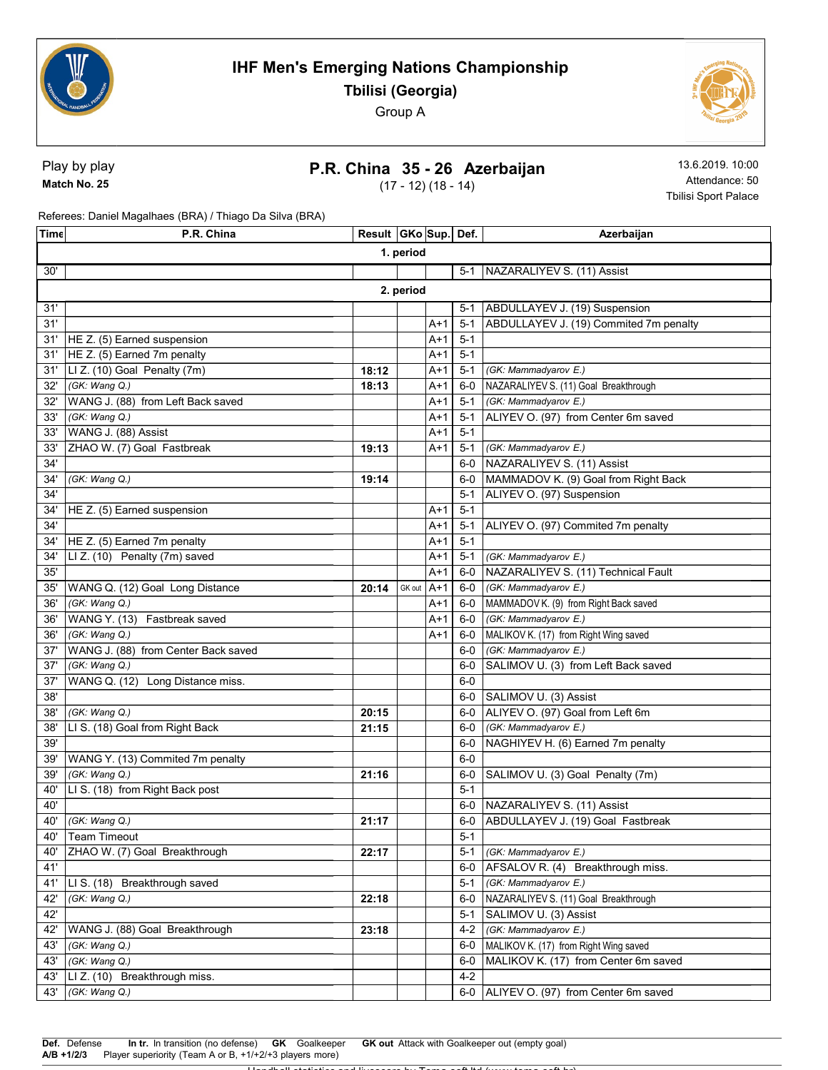



Play by play Match No. 25

# P.R. China 35 - 26 Azerbaijan

(17 - 12) (18 - 14)

13.6.2019. 10:00 Attendance: 50 Tbilisi Sport Palace

Referees: Daniel Magalhaes (BRA) / Thiago Da Silva (BRA)

| Time | P.R. China                          | Result   GKo   Sup   Def. |        |       |         | Azerbaijan                              |  |  |
|------|-------------------------------------|---------------------------|--------|-------|---------|-----------------------------------------|--|--|
|      | 1. period                           |                           |        |       |         |                                         |  |  |
| 30'  |                                     |                           |        |       | $5-1$   | NAZARALIYEV S. (11) Assist              |  |  |
|      | 2. period                           |                           |        |       |         |                                         |  |  |
| 31'  |                                     |                           |        |       | $5-1$   | ABDULLAYEV J. (19) Suspension           |  |  |
| 31'  |                                     |                           |        | A+1   | $5 - 1$ | ABDULLAYEV J. (19) Commited 7m penalty  |  |  |
| 31'  | HE Z. (5) Earned suspension         |                           |        | A+1   | $5 - 1$ |                                         |  |  |
| 31'  | HE Z. (5) Earned 7m penalty         |                           |        | $A+1$ | $5 - 1$ |                                         |  |  |
| 31'  | LI Z. (10) Goal Penalty (7m)        | 18:12                     |        | A+1   | $5 - 1$ | (GK: Mammadyarov E.)                    |  |  |
| 32'  | (GK: Wang Q.)                       | 18:13                     |        | A+1   | 6-0     | NAZARALIYEV S. (11) Goal Breakthrough   |  |  |
| 32'  | WANG J. (88) from Left Back saved   |                           |        | A+1   | $5 - 1$ | (GK: Mammadyarov E.)                    |  |  |
| 33'  | (GK: Wang Q.)                       |                           |        | A+1   | $5 - 1$ | ALIYEV O. (97) from Center 6m saved     |  |  |
| 33'  | WANG J. (88) Assist                 |                           |        | A+1   | $5 - 1$ |                                         |  |  |
| 33'  | ZHAO W. (7) Goal Fastbreak          | 19:13                     |        | A+1   | $5 - 1$ | (GK: Mammadyarov E.)                    |  |  |
| 34'  |                                     |                           |        |       | $6-0$   | NAZARALIYEV S. (11) Assist              |  |  |
| 34'  | (GK: Wang Q.)                       | 19:14                     |        |       | $6-0$   | MAMMADOV K. (9) Goal from Right Back    |  |  |
| 34'  |                                     |                           |        |       | $5 - 1$ | ALIYEV O. (97) Suspension               |  |  |
| 34'  | HE Z. (5) Earned suspension         |                           |        | A+1   | $5 - 1$ |                                         |  |  |
| 34'  |                                     |                           |        | A+1   | $5 - 1$ | ALIYEV O. (97) Commited 7m penalty      |  |  |
| 34'  | HE Z. (5) Earned 7m penalty         |                           |        | A+1   | $5 - 1$ |                                         |  |  |
| 34'  | LI Z. (10) Penalty (7m) saved       |                           |        | A+1   | $5 - 1$ | (GK: Mammadyarov E.)                    |  |  |
| 35'  |                                     |                           |        | A+1   | 6-0     | NAZARALIYEV S. (11) Technical Fault     |  |  |
| 35'  | WANG Q. (12) Goal Long Distance     | 20:14                     | GK out | $A+1$ | $6-0$   | (GK: Mammadyarov E.)                    |  |  |
| 36'  | (GK: Wang Q.)                       |                           |        | A+1   | $6-0$   | MAMMADOV K. (9) from Right Back saved   |  |  |
| 36'  | WANG Y. (13) Fastbreak saved        |                           |        | A+1   | 6-0     | (GK: Mammadyarov E.)                    |  |  |
| 36'  | (GK: Wang Q.)                       |                           |        | A+1   | 6-0     | MALIKOV K. (17) from Right Wing saved   |  |  |
| 37'  | WANG J. (88) from Center Back saved |                           |        |       | $6-0$   | (GK: Mammadyarov E.)                    |  |  |
| 37'  | (GK: Wang Q.)                       |                           |        |       | $6-0$   | SALIMOV U. (3) from Left Back saved     |  |  |
| 37'  | WANG Q. (12) Long Distance miss.    |                           |        |       | $6-0$   |                                         |  |  |
| 38'  |                                     |                           |        |       | $6-0$   | SALIMOV U. (3) Assist                   |  |  |
| 38'  | (GK: Wang Q.)                       | 20:15                     |        |       | $6-0$   | ALIYEV O. (97) Goal from Left 6m        |  |  |
| 38'  | LI S. (18) Goal from Right Back     | 21:15                     |        |       | $6-0$   | (GK: Mammadyarov E.)                    |  |  |
| 39'  |                                     |                           |        |       | $6-0$   | NAGHIYEV H. (6) Earned 7m penalty       |  |  |
| 39'  | WANG Y. (13) Commited 7m penalty    |                           |        |       | $6-0$   |                                         |  |  |
| 39'  | (GK: Wang Q.)                       | 21:16                     |        |       | $6-0$   | SALIMOV U. (3) Goal Penalty (7m)        |  |  |
| 40'  | LI S. (18) from Right Back post     |                           |        |       | $5-1$   |                                         |  |  |
| 40'  |                                     |                           |        |       | $6-0$   | NAZARALIYEV S. (11) Assist              |  |  |
| 40'  | (GK: Wang Q.)                       | 21:17                     |        |       | $6-0$   | ABDULLAYEV J. (19) Goal Fastbreak       |  |  |
|      | 40' Team Timeout                    |                           |        |       | $5-1$   |                                         |  |  |
| 40'  | ZHAO W. (7) Goal Breakthrough       | 22:17                     |        |       | $5 - 1$ | (GK: Mammadyarov E.)                    |  |  |
| 41'  |                                     |                           |        |       | $6-0$   | AFSALOV R. (4) Breakthrough miss.       |  |  |
| 41'  | LIS. (18) Breakthrough saved        |                           |        |       | $5 - 1$ | (GK: Mammadyarov E.)                    |  |  |
| 42'  | (GK: Wang Q.)                       | 22:18                     |        |       | 6-0     | NAZARALIYEV S. (11) Goal Breakthrough   |  |  |
| 42'  |                                     |                           |        |       | 5-1     | SALIMOV U. (3) Assist                   |  |  |
| 42'  | WANG J. (88) Goal Breakthrough      | 23:18                     |        |       | 4-2     | (GK: Mammadyarov E.)                    |  |  |
| 43'  | (GK: Wang Q.)                       |                           |        |       | $6-0$   | MALIKOV K. (17) from Right Wing saved   |  |  |
| 43'  | (GK: Wang Q.)                       |                           |        |       | 6-0     | MALIKOV K. (17) from Center 6m saved    |  |  |
|      | 43'  LI Z. (10) Breakthrough miss.  |                           |        |       | $4 - 2$ |                                         |  |  |
| 43'  | (GK: Wang Q.)                       |                           |        |       |         | 6-0 ALIYEV O. (97) from Center 6m saved |  |  |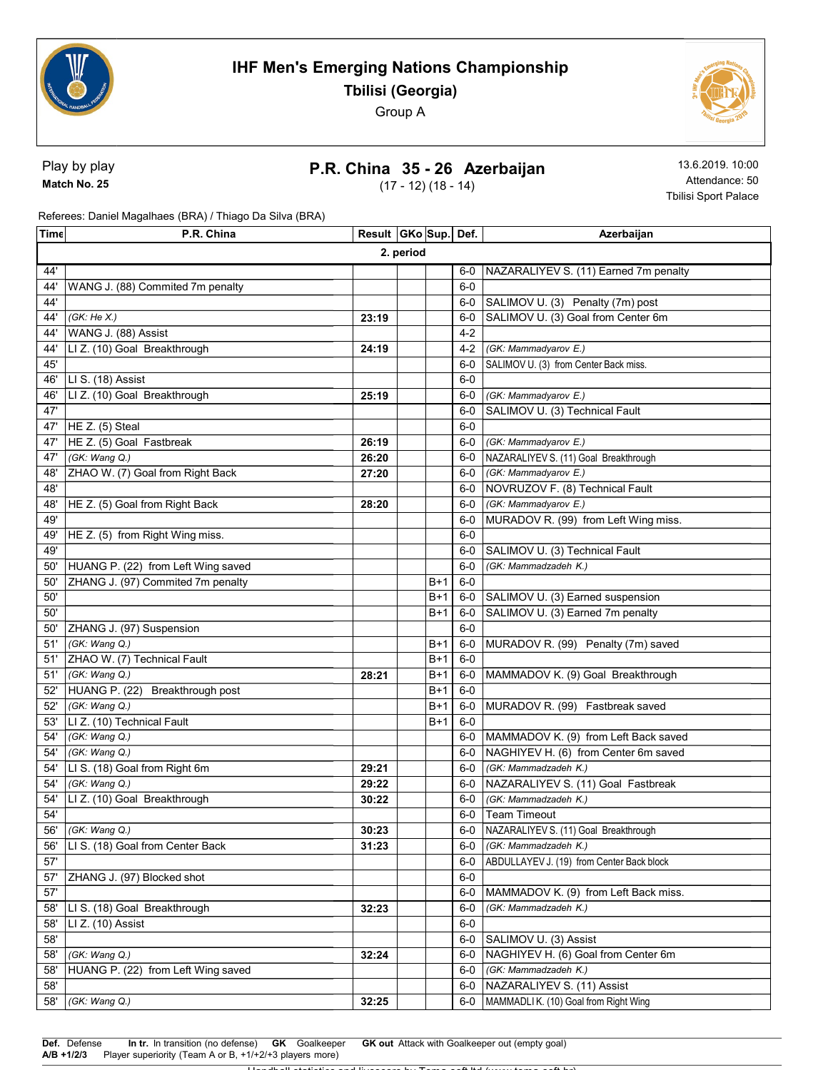



Play by play Match No. 25

#### P.R. China 35 - 26 Azerbaijan

(17 - 12) (18 - 14)

13.6.2019. 10:00 Attendance: 50 Tbilisi Sport Palace

Referees: Daniel Magalhaes (BRA) / Thiago Da Silva (BRA)

| Time | P.R. China                         | Result   GKo   Sup   Def. |  |       |         | Azerbaijan                                |  |  |
|------|------------------------------------|---------------------------|--|-------|---------|-------------------------------------------|--|--|
|      | 2. period                          |                           |  |       |         |                                           |  |  |
| 44'  |                                    |                           |  |       | 6-0     | NAZARALIYEV S. (11) Earned 7m penalty     |  |  |
| 44'  | WANG J. (88) Commited 7m penalty   |                           |  |       | $6-0$   |                                           |  |  |
| 44'  |                                    |                           |  |       |         | 6-0 SALIMOV U. (3) Penalty (7m) post      |  |  |
| 44'  | (GK: He X.)                        | 23:19                     |  |       | $6-0$   | SALIMOV U. (3) Goal from Center 6m        |  |  |
| 44'  | WANG J. (88) Assist                |                           |  |       | $4 - 2$ |                                           |  |  |
| 44'  | LI Z. (10) Goal Breakthrough       | 24:19                     |  |       | $4 - 2$ | (GK: Mammadyarov E.)                      |  |  |
| 45'  |                                    |                           |  |       | $6-0$   | SALIMOV U. (3) from Center Back miss.     |  |  |
| 46'  | LI S. (18) Assist                  |                           |  |       | $6-0$   |                                           |  |  |
| 46'  | LI Z. (10) Goal Breakthrough       | 25:19                     |  |       | 6-0     | (GK: Mammadyarov E.)                      |  |  |
| 47'  |                                    |                           |  |       | $6-0$   | SALIMOV U. (3) Technical Fault            |  |  |
| 47'  | HE Z. $(5)$ Steal                  |                           |  |       | $6-0$   |                                           |  |  |
| 47'  | HE Z. (5) Goal Fastbreak           | 26:19                     |  |       | $6-0$   | (GK: Mammadyarov E.)                      |  |  |
| 47'  | (GK: Wang Q.)                      | 26:20                     |  |       | 6-0     | NAZARALIYEV S. (11) Goal Breakthrough     |  |  |
| 48'  | ZHAO W. (7) Goal from Right Back   | 27:20                     |  |       | 6-0     | (GK: Mammadyarov E.)                      |  |  |
| 48'  |                                    |                           |  |       |         | 6-0 NOVRUZOV F. (8) Technical Fault       |  |  |
| 48'  | HE Z. (5) Goal from Right Back     | 28:20                     |  |       | 6-0     | (GK: Mammadyarov E.)                      |  |  |
| 49'  |                                    |                           |  |       | 6-0     | MURADOV R. (99) from Left Wing miss.      |  |  |
| 49'  | HE Z. (5) from Right Wing miss.    |                           |  |       | $6-0$   |                                           |  |  |
| 49'  |                                    |                           |  |       | $6-0$   | SALIMOV U. (3) Technical Fault            |  |  |
| 50'  | HUANG P. (22) from Left Wing saved |                           |  |       | 6-0     | (GK: Mammadzadeh K.)                      |  |  |
| 50'  | ZHANG J. (97) Commited 7m penalty  |                           |  | B+1   | $6-0$   |                                           |  |  |
| 50'  |                                    |                           |  | B+1   | $6-0$   | SALIMOV U. (3) Earned suspension          |  |  |
| 50'  |                                    |                           |  | B+1   | 6-0     | SALIMOV U. (3) Earned 7m penalty          |  |  |
| 50'  | ZHANG J. (97) Suspension           |                           |  |       | $6-0$   |                                           |  |  |
| 51'  | (GK: Wang Q.)                      |                           |  | B+1   | $6-0$   | MURADOV R. (99) Penalty (7m) saved        |  |  |
| 51'  | ZHAO W. (7) Technical Fault        |                           |  | B+1   | $6-0$   |                                           |  |  |
| 51'  | (GK: Wang Q.)                      | 28:21                     |  | B+1   | $6-0$   | MAMMADOV K. (9) Goal Breakthrough         |  |  |
| 52'  | HUANG P. (22) Breakthrough post    |                           |  | $B+1$ | $6-0$   |                                           |  |  |
| 52'  | (GK: Wang Q.)                      |                           |  | B+1   | 6-0     | MURADOV R. (99) Fastbreak saved           |  |  |
| 53'  | LI Z. (10) Technical Fault         |                           |  | $B+1$ | $6-0$   |                                           |  |  |
| 54'  | (GK: Wang Q.)                      |                           |  |       | 6-0     | MAMMADOV K. (9) from Left Back saved      |  |  |
| 54'  | (GK: Wang Q.)                      |                           |  |       | $6-0$   | NAGHIYEV H. (6) from Center 6m saved      |  |  |
| 54'  | LI S. (18) Goal from Right 6m      | 29:21                     |  |       | 6-0     | (GK: Mammadzadeh K.)                      |  |  |
| 54'  | (GK: Wang Q.)                      | 29:22                     |  |       | 6-0     | NAZARALIYEV S. (11) Goal Fastbreak        |  |  |
| 54'  | LI Z. (10) Goal Breakthrough       | 30:22                     |  |       | 6-0     | (GK: Mammadzadeh K.)                      |  |  |
| 54'  |                                    |                           |  |       |         | 6-0 Team Timeout                          |  |  |
| 56'  | (GK: Wang Q.)                      | 30:23                     |  |       |         | 6-0 NAZARALIYEV S. (11) Goal Breakthrough |  |  |
| 56'  | LI S. (18) Goal from Center Back   | 31:23                     |  |       | 6-0     | (GK: Mammadzadeh K.)                      |  |  |
| 57'  |                                    |                           |  |       | $6-0$   | ABDULLAYEV J. (19) from Center Back block |  |  |
| 57'  | ZHANG J. (97) Blocked shot         |                           |  |       | $6-0$   |                                           |  |  |
| 57'  |                                    |                           |  |       | 6-0     | MAMMADOV K. (9) from Left Back miss.      |  |  |
| 58'  | LI S. (18) Goal Breakthrough       | 32:23                     |  |       | 6-0     | (GK: Mammadzadeh K.)                      |  |  |
| 58'  | LI Z. (10) Assist                  |                           |  |       | $6-0$   |                                           |  |  |
| 58'  |                                    |                           |  |       | $6-0$   | SALIMOV U. (3) Assist                     |  |  |
| 58'  | (GK: Wang Q.)                      | 32:24                     |  |       | $6-0$   | NAGHIYEV H. (6) Goal from Center 6m       |  |  |
| 58'  | HUANG P. (22) from Left Wing saved |                           |  |       | $6-0$   | (GK: Mammadzadeh K.)                      |  |  |
| 58'  |                                    |                           |  |       | 6-0     | NAZARALIYEV S. (11) Assist                |  |  |
| 58'  | (GK: Wang Q.)                      | 32:25                     |  |       | 6-0     | MAMMADLI K. (10) Goal from Right Wing     |  |  |